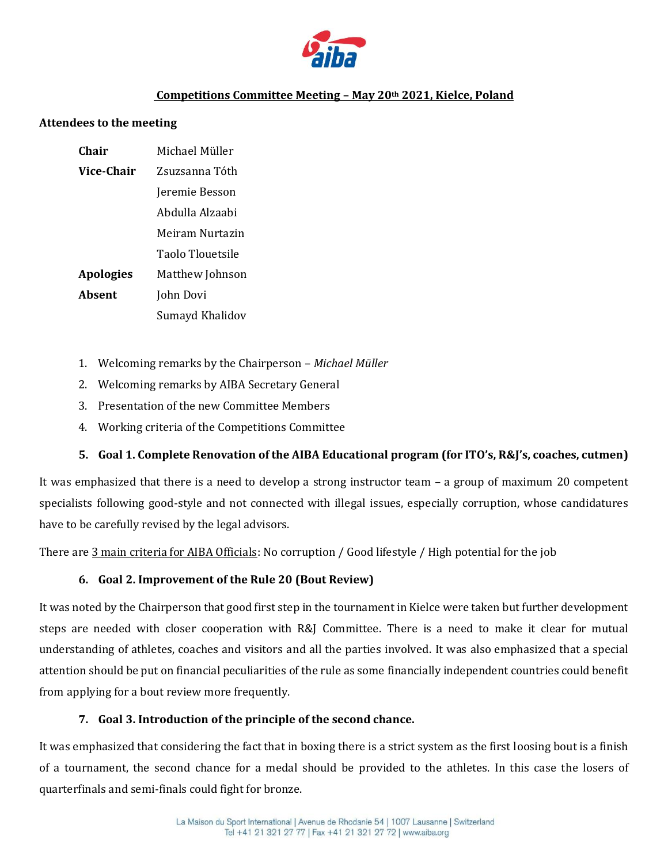

# **Competitions Committee Meeting – May 20th 2021, Kielce, Poland**

#### **Attendees to the meeting**

| Chair            | Michael Müller   |
|------------------|------------------|
| Vice-Chair       | Zsuzsanna Tóth   |
|                  | Jeremie Besson   |
|                  | Abdulla Alzaabi  |
|                  | Meiram Nurtazin  |
|                  | Taolo Tlouetsile |
| <b>Apologies</b> | Matthew Johnson  |
| Absent           | John Dovi        |
|                  | Sumayd Khalidov  |

- 1. Welcoming remarks by the Chairperson *Michael Müller*
- 2. Welcoming remarks by AIBA Secretary General
- 3. Presentation of the new Committee Members
- 4. Working criteria of the Competitions Committee

#### **5. Goal 1. Complete Renovation of the AIBA Educational program (for ITO's, R&J's, coaches, cutmen)**

It was emphasized that there is a need to develop a strong instructor team – a group of maximum 20 competent specialists following good-style and not connected with illegal issues, especially corruption, whose candidatures have to be carefully revised by the legal advisors.

There are 3 main criteria for AIBA Officials: No corruption / Good lifestyle / High potential for the job

# **6. Goal 2. Improvement of the Rule 20 (Bout Review)**

It was noted by the Chairperson that good first step in the tournament in Kielce were taken but further development steps are needed with closer cooperation with R&J Committee. There is a need to make it clear for mutual understanding of athletes, coaches and visitors and all the parties involved. It was also emphasized that a special attention should be put on financial peculiarities of the rule as some financially independent countries could benefit from applying for a bout review more frequently.

# **7. Goal 3. Introduction of the principle of the second chance.**

It was emphasized that considering the fact that in boxing there is a strict system as the first loosing bout is a finish of a tournament, the second chance for a medal should be provided to the athletes. In this case the losers of quarterfinals and semi-finals could fight for bronze.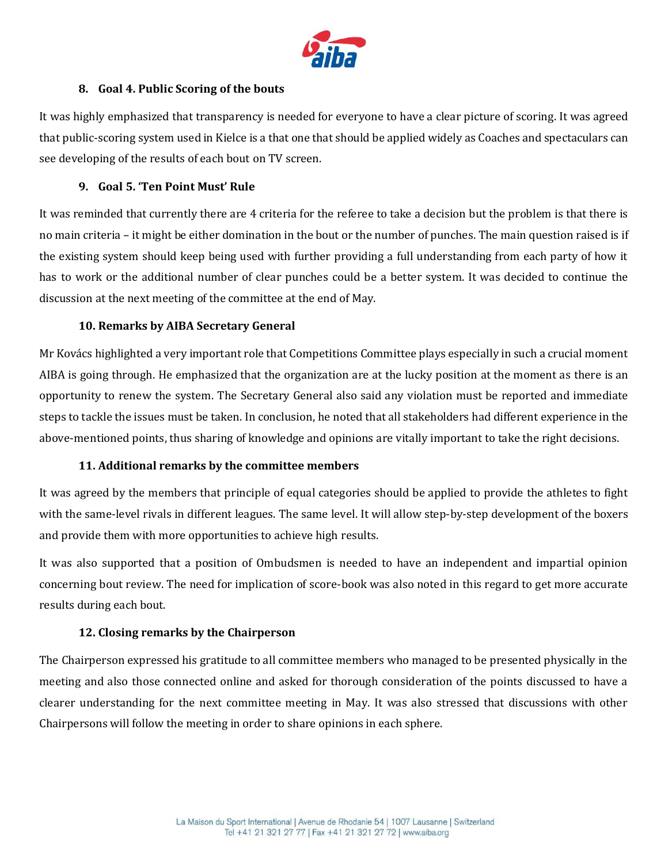

# **8. Goal 4. Public Scoring of the bouts**

It was highly emphasized that transparency is needed for everyone to have a clear picture of scoring. It was agreed that public-scoring system used in Kielce is a that one that should be applied widely as Coaches and spectaculars can see developing of the results of each bout on TV screen.

### **9. Goal 5. 'Ten Point Must' Rule**

It was reminded that currently there are 4 criteria for the referee to take a decision but the problem is that there is no main criteria – it might be either domination in the bout or the number of punches. The main question raised is if the existing system should keep being used with further providing a full understanding from each party of how it has to work or the additional number of clear punches could be a better system. It was decided to continue the discussion at the next meeting of the committee at the end of May.

# **10. Remarks by AIBA Secretary General**

Mr Kovács highlighted a very important role that Competitions Committee plays especially in such a crucial moment AIBA is going through. He emphasized that the organization are at the lucky position at the moment as there is an opportunity to renew the system. The Secretary General also said any violation must be reported and immediate steps to tackle the issues must be taken. In conclusion, he noted that all stakeholders had different experience in the above-mentioned points, thus sharing of knowledge and opinions are vitally important to take the right decisions.

# **11. Additional remarks by the committee members**

It was agreed by the members that principle of equal categories should be applied to provide the athletes to fight with the same-level rivals in different leagues. The same level. It will allow step-by-step development of the boxers and provide them with more opportunities to achieve high results.

It was also supported that a position of Ombudsmen is needed to have an independent and impartial opinion concerning bout review. The need for implication of score-book was also noted in this regard to get more accurate results during each bout.

# **12. Closing remarks by the Chairperson**

The Chairperson expressed his gratitude to all committee members who managed to be presented physically in the meeting and also those connected online and asked for thorough consideration of the points discussed to have a clearer understanding for the next committee meeting in May. It was also stressed that discussions with other Chairpersons will follow the meeting in order to share opinions in each sphere.